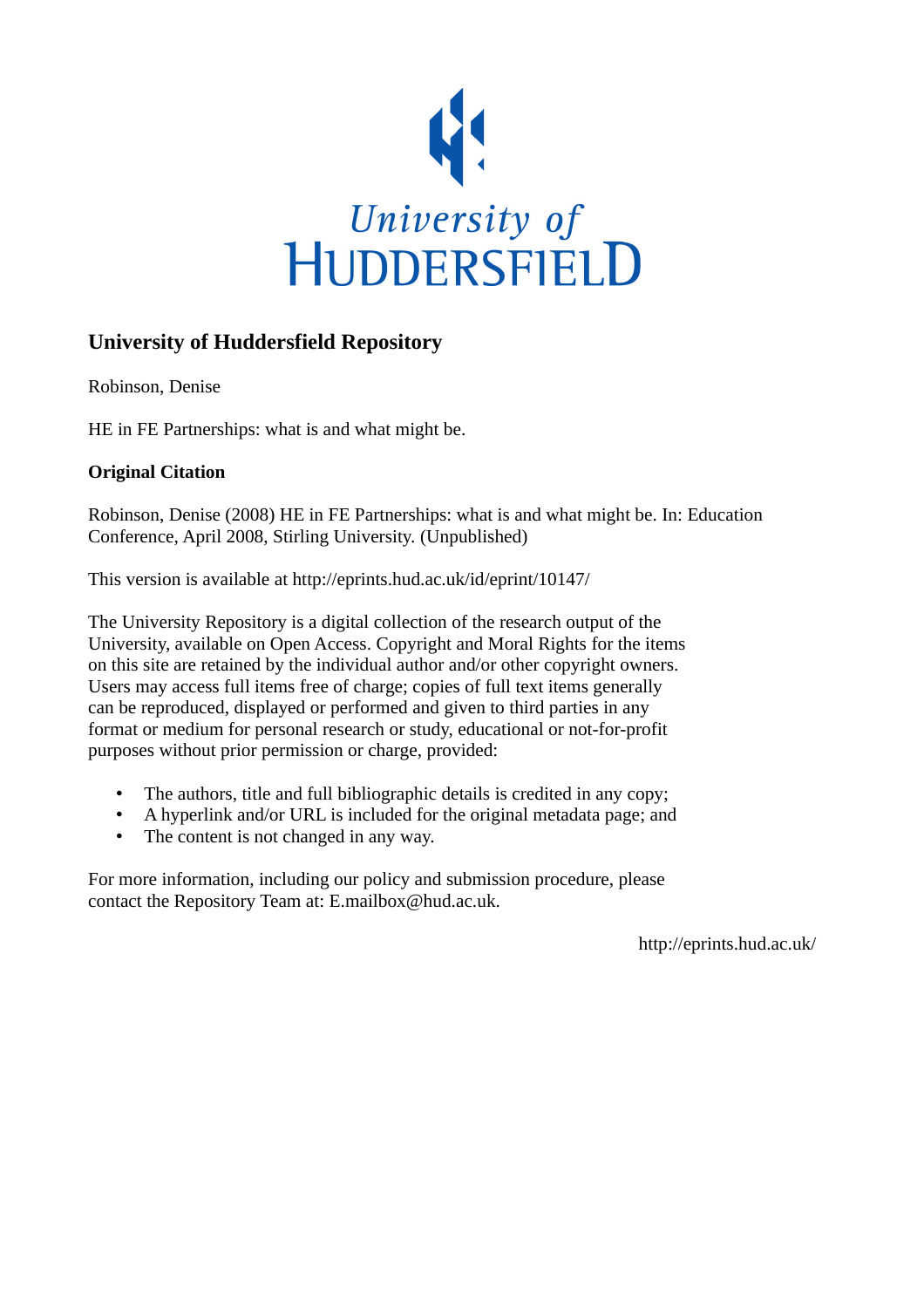

#### **University of Huddersfield Repository**

Robinson, Denise

HE in FE Partnerships: what is and what might be.

#### **Original Citation**

Robinson, Denise (2008) HE in FE Partnerships: what is and what might be. In: Education Conference, April 2008, Stirling University. (Unpublished)

This version is available at http://eprints.hud.ac.uk/id/eprint/10147/

The University Repository is a digital collection of the research output of the University, available on Open Access. Copyright and Moral Rights for the items on this site are retained by the individual author and/or other copyright owners. Users may access full items free of charge; copies of full text items generally can be reproduced, displayed or performed and given to third parties in any format or medium for personal research or study, educational or not-for-profit purposes without prior permission or charge, provided:

- The authors, title and full bibliographic details is credited in any copy;
- A hyperlink and/or URL is included for the original metadata page; and
- The content is not changed in any way.

For more information, including our policy and submission procedure, please contact the Repository Team at: E.mailbox@hud.ac.uk.

http://eprints.hud.ac.uk/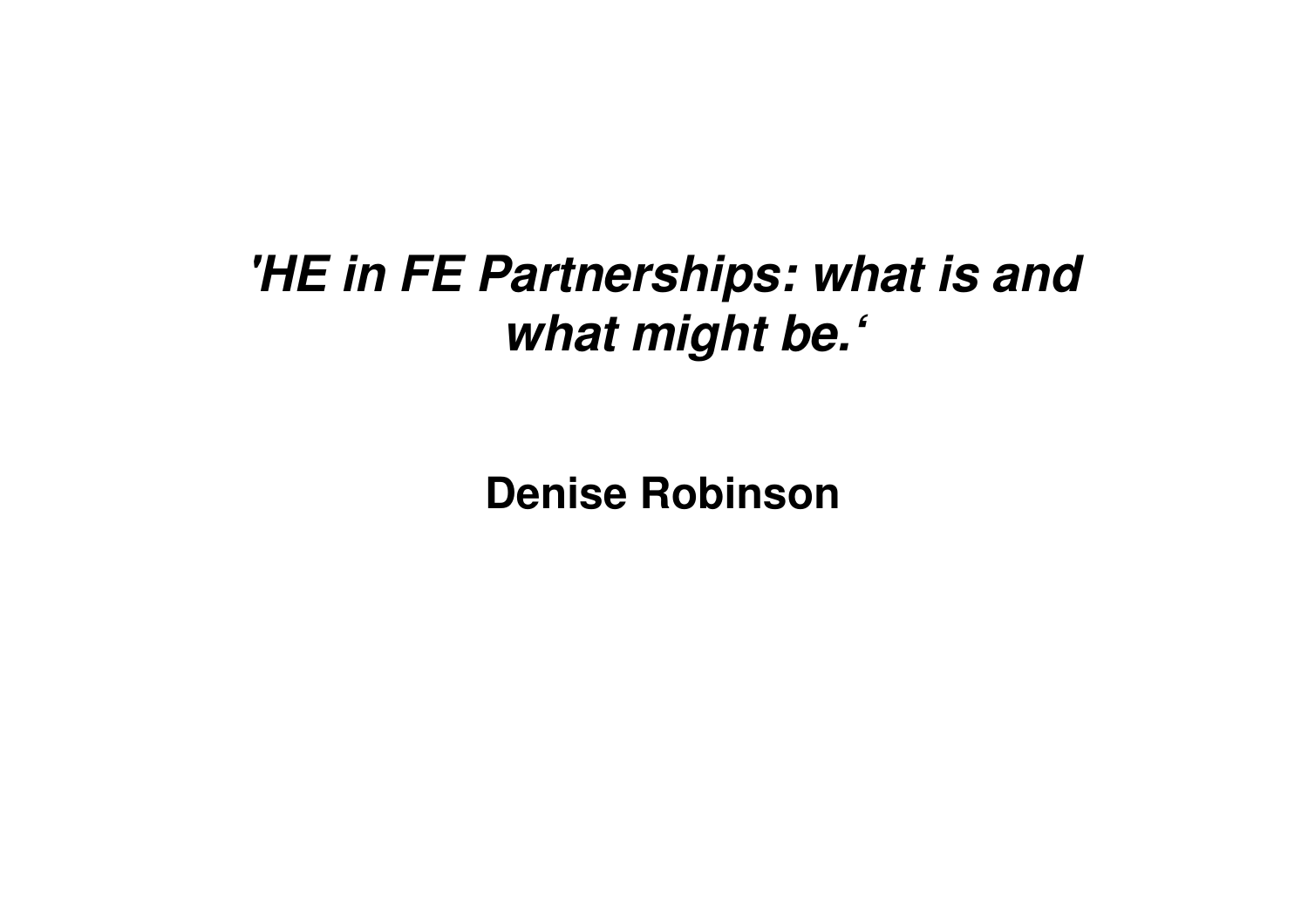#### **'HE in FE Partnerships: what is and what might be.'**

**Denise Robinson**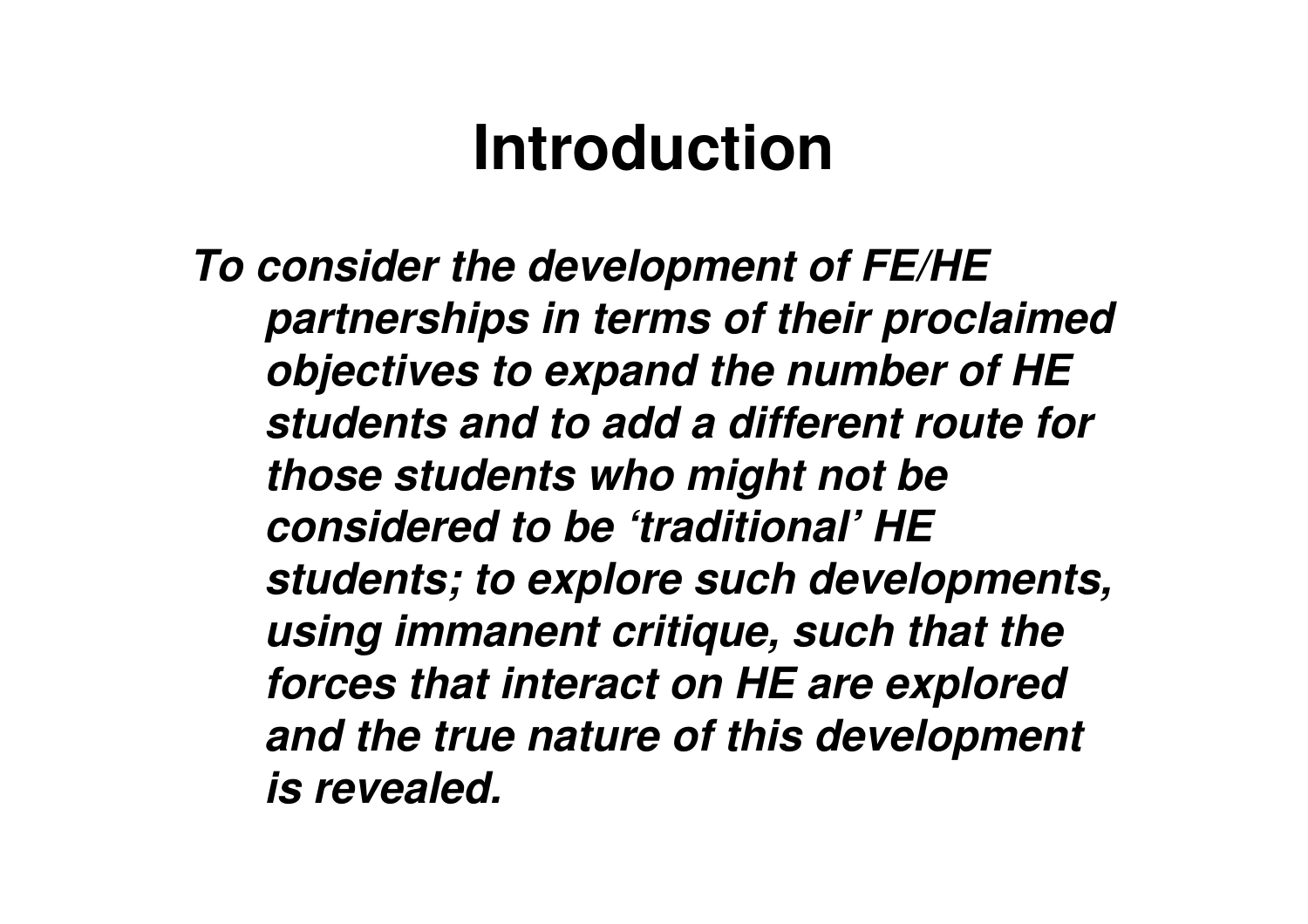#### **Introduction**

**To consider the development of FE/HE partnerships in terms of their proclaimed objectives to expand the number of HE students and to add a different route for those students who might not be considered to be 'traditional' HE students; to explore such developments, using immanent critique, such that the forces that interact on HE are explored and the true nature of this development is revealed.**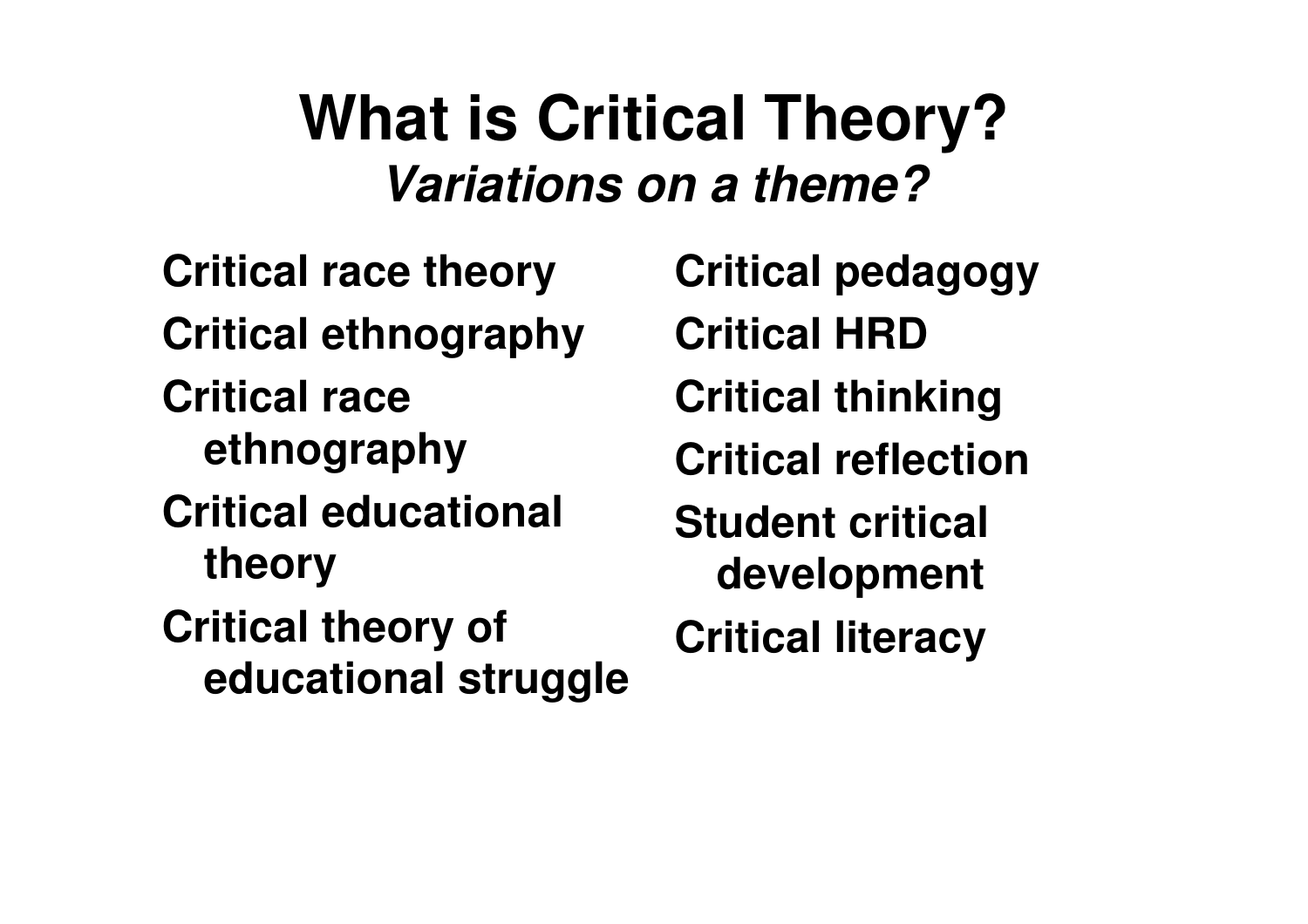#### **What is Critical Theory?Variations on a theme?**

**Critical race theoryCritical ethnographyCritical race ethnographyCritical educational theoryCritical theory of educational struggle** **Critical pedagogyCritical HRD Critical thinkingCritical reflectionStudent critical developmentCritical literacy**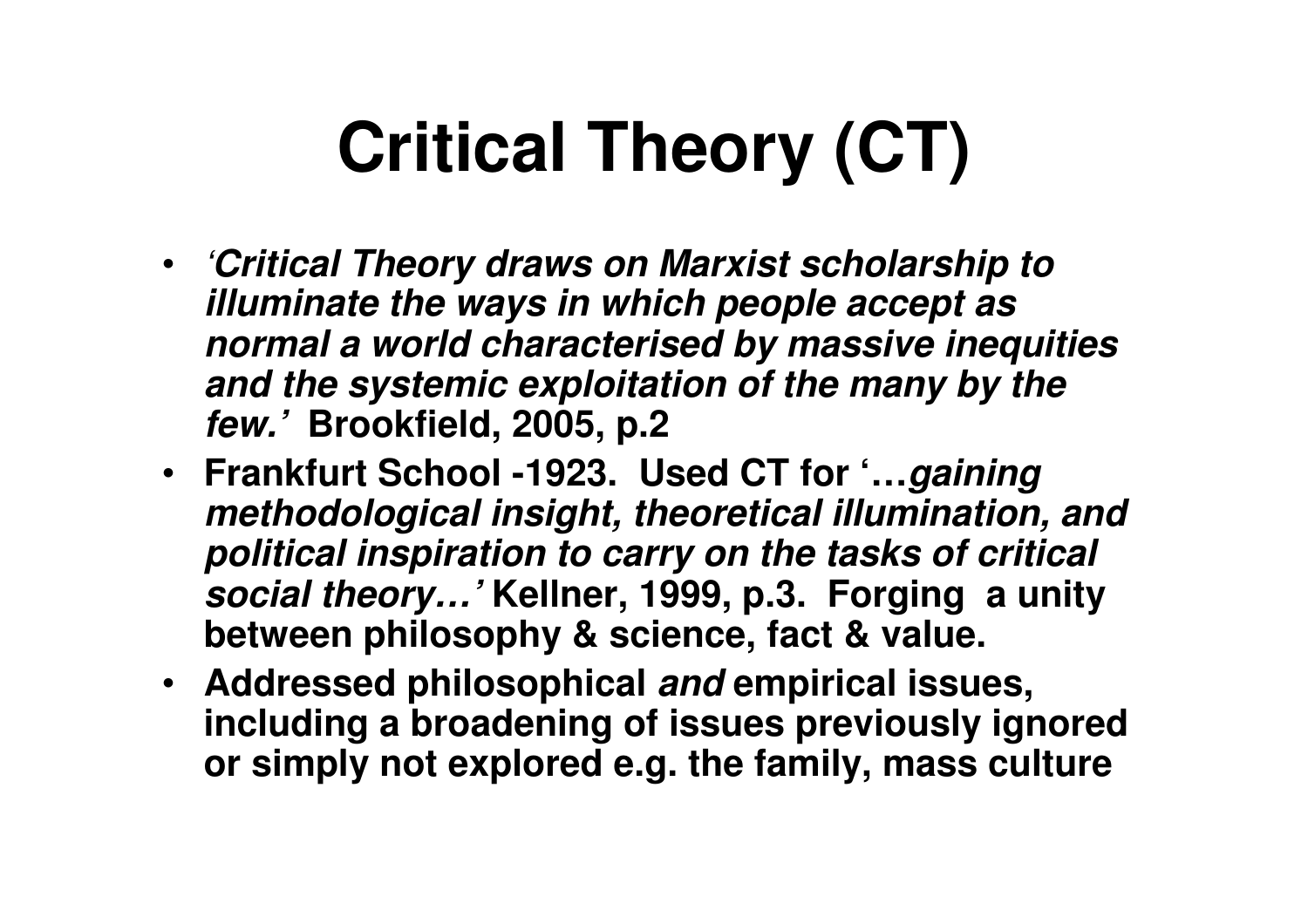# **Critical Theory (CT)**

- '**Critical Theory draws on Marxist scholarship to illuminate the ways in which people accept as normal a world characterised by massive inequities and the systemic exploitation of the many by the few.' Brookfield, 2005, p.2**
- **Frankfurt School -1923. Used CT for '…gaining methodological insight, theoretical illumination, and political inspiration to carry on the tasks of critical social theory…' Kellner, 1999, p.3. Forging a unity between philosophy & science, fact & value.**
- **Addressed philosophical and empirical issues, including a broadening of issues previously ignoredor simply not explored e.g. the family, mass culture**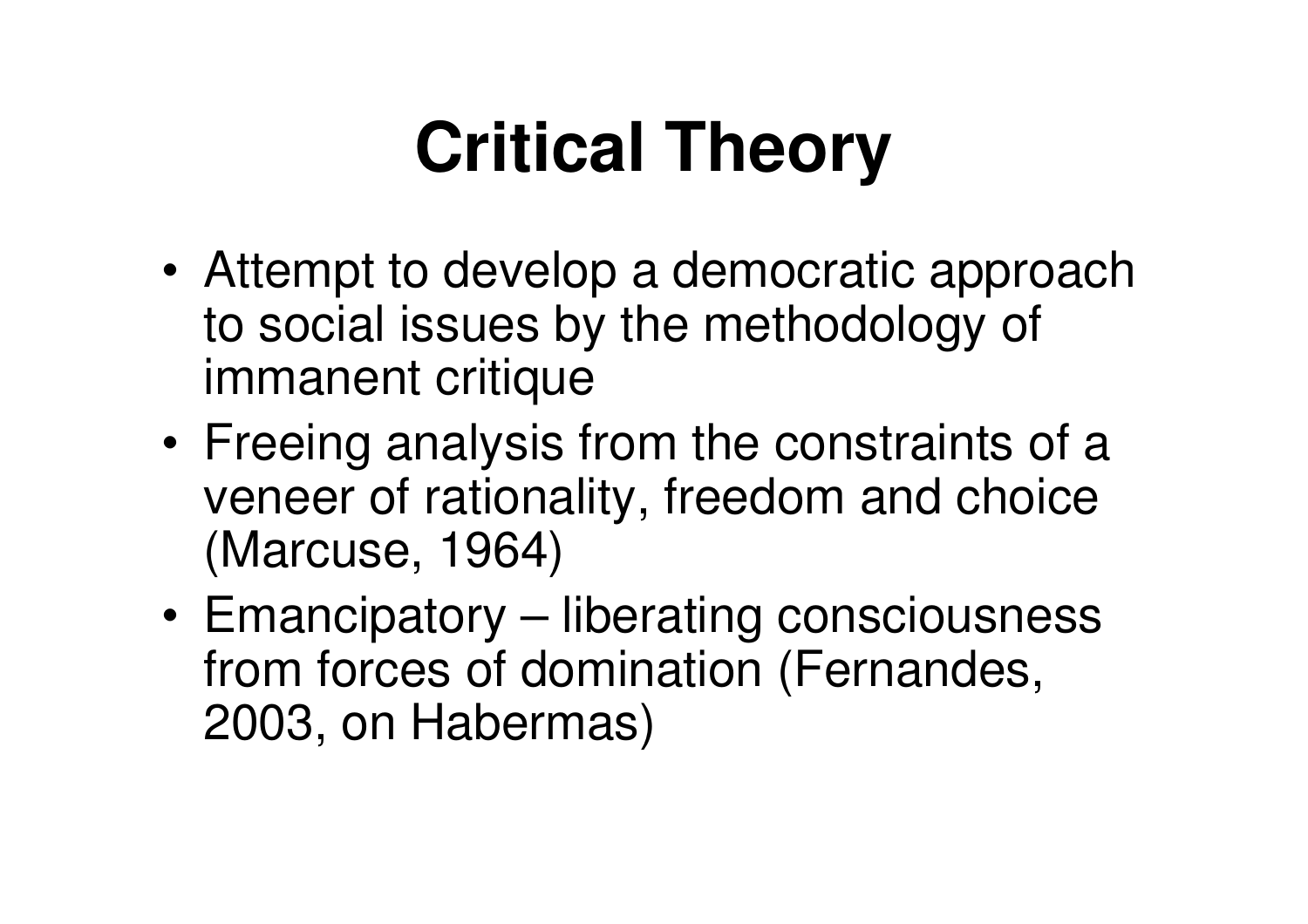# **Critical Theory**

- • Attempt to develop a democratic approach to social issues by the methodology of immanent critique
- • Freeing analysis from the constraints of a veneer of rationality, freedom and choice (Marcuse, 1964)
- • Emancipatory – liberating consciousness from forces of domination (Fernandes, 2003, on Habermas)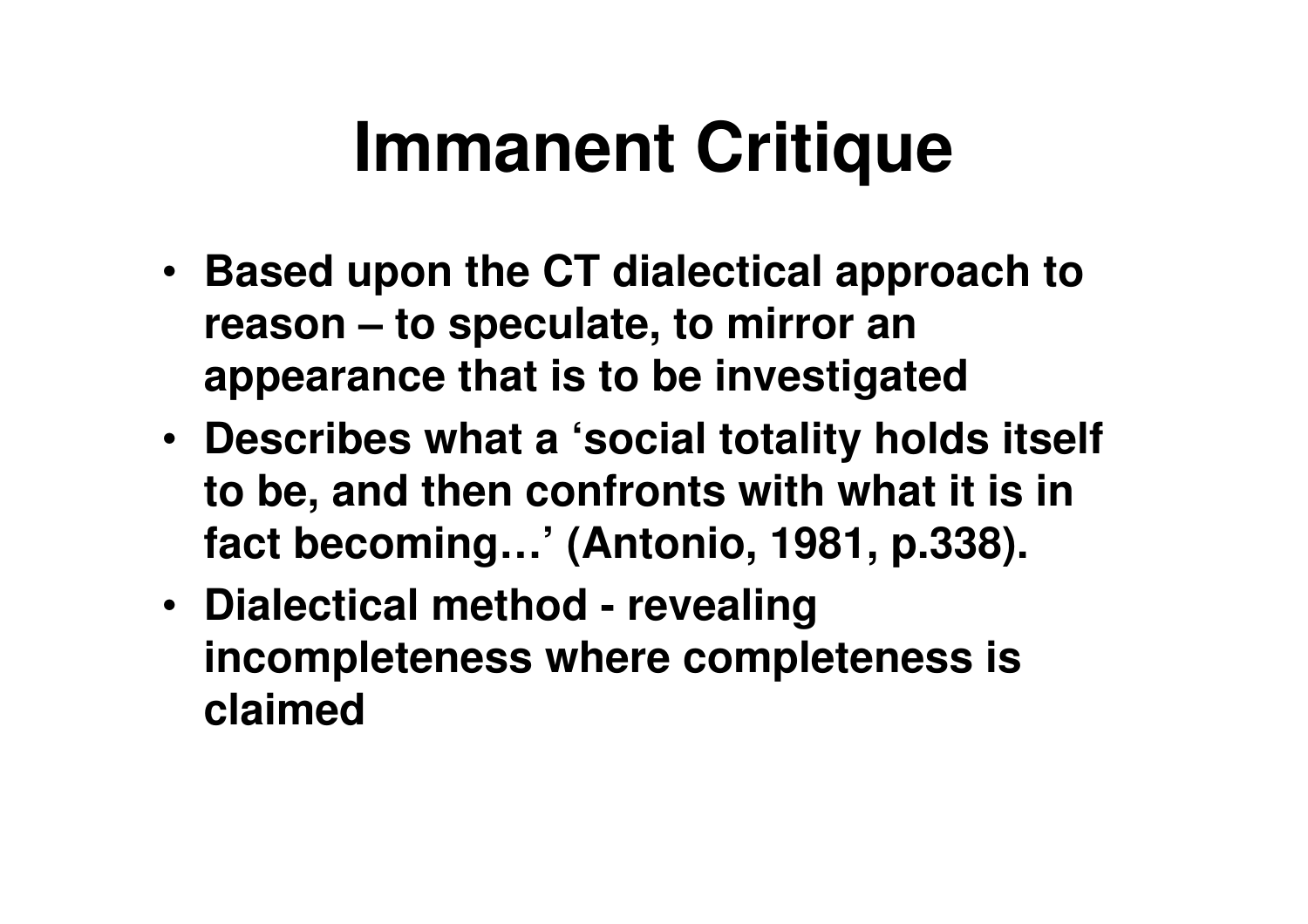## **Immanent Critique**

- **Based upon the CT dialectical approach to reason – to speculate, to mirror an appearance that is to be investigated**
- **Describes what a 'social totality holds itself to be, and then confronts with what it is in fact becoming…' (Antonio, 1981, p.338).**
- **Dialectical method - revealing incompleteness where completeness is claimed**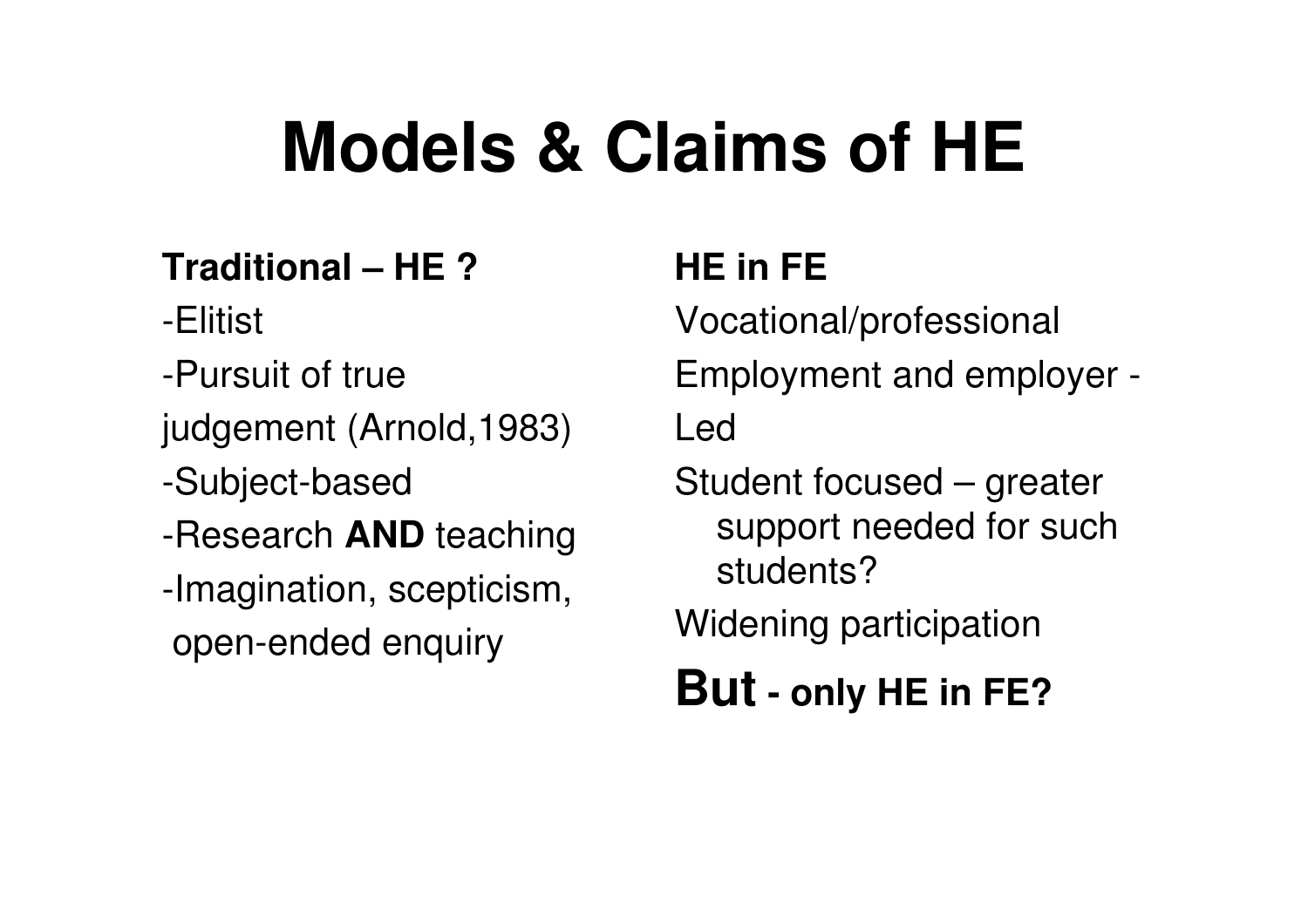## **Models & Claims of HE**

#### **Traditional – HE ?**

-Elitist

- -Pursuit of true
- judgement (Arnold,1983)
- -Subject-based
- -Research **AND** teaching
- -Imagination, scepticism,open-ended enquiry

#### **HE in FE**

Vocational/professionalEmployment and employer -Led

Student focused – greater support needed for such students?

Widening participation

#### **But - only HE in FE?**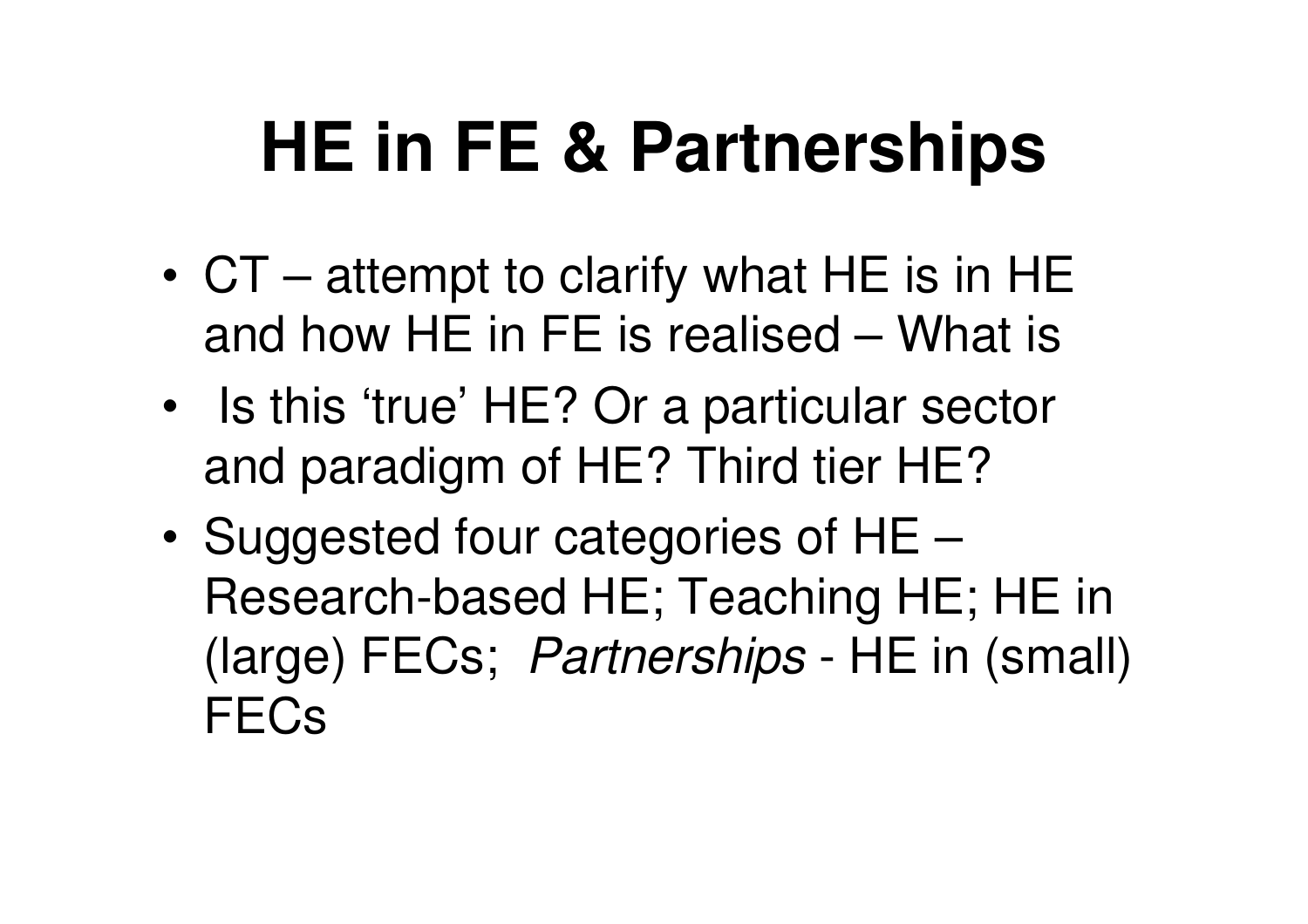## **HE in FE & Partnerships**

- • CT – attempt to clarify what HE is in HE and how HE in FE is realised – What is
- • Is this 'true' HE? Or a particular sector and paradigm of HE? Third tier HE?
- • Suggested four categories of HE – Research-based HE; Teaching HE; HE in (large) FECs; Partnerships - HE in (small) **FECs**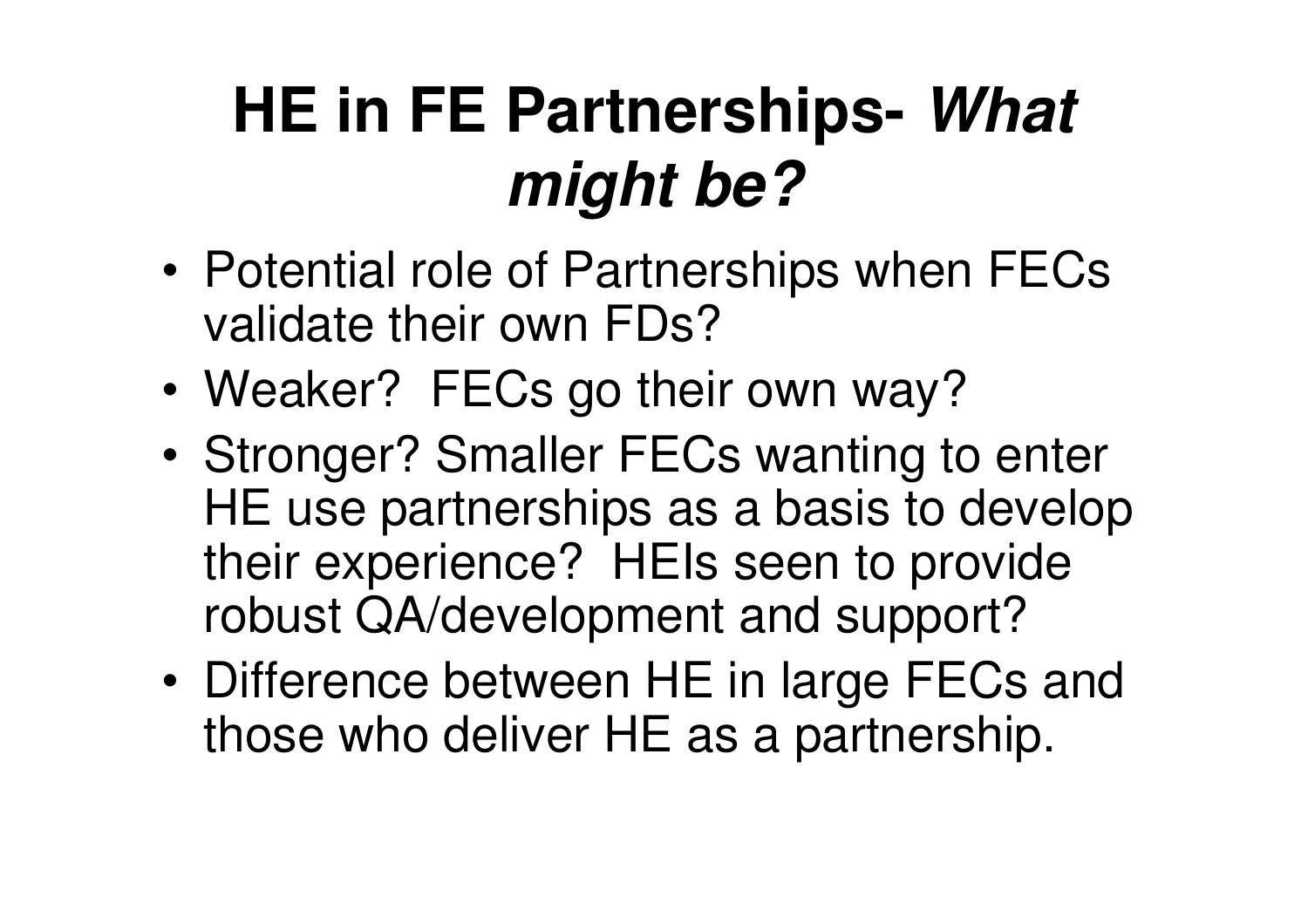### **HE in FE Partnerships- What might be?**

- • Potential role of Partnerships when FECsvalidate their own FDs?
- •Weaker? FECs go their own way?
- • Stronger? Smaller FECs wanting to enter HE use partnerships as a basis to develop their experience? HEIs seen to provide robust QA/development and support?
- • Difference between HE in large FECs and those who deliver HE as a partnership.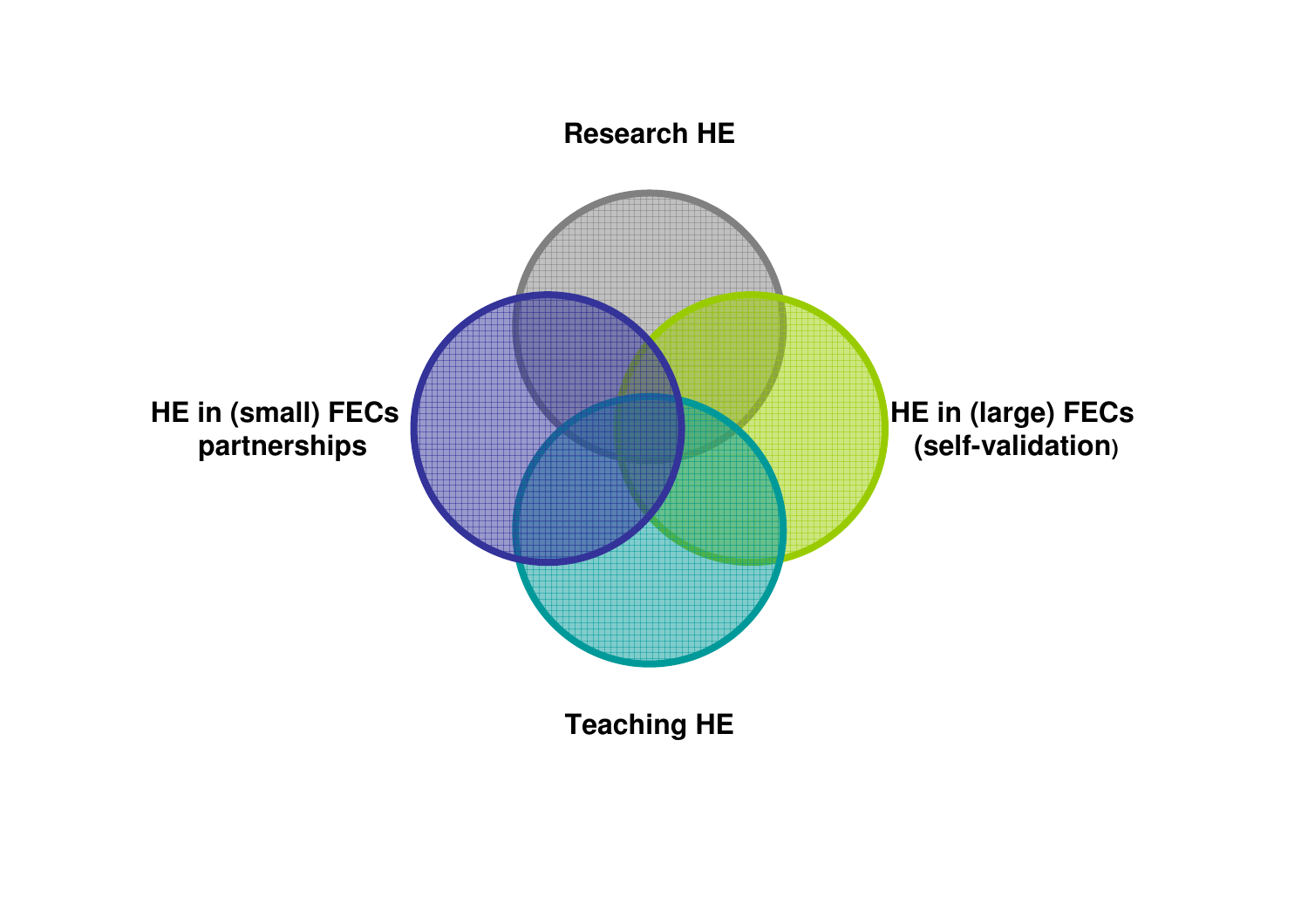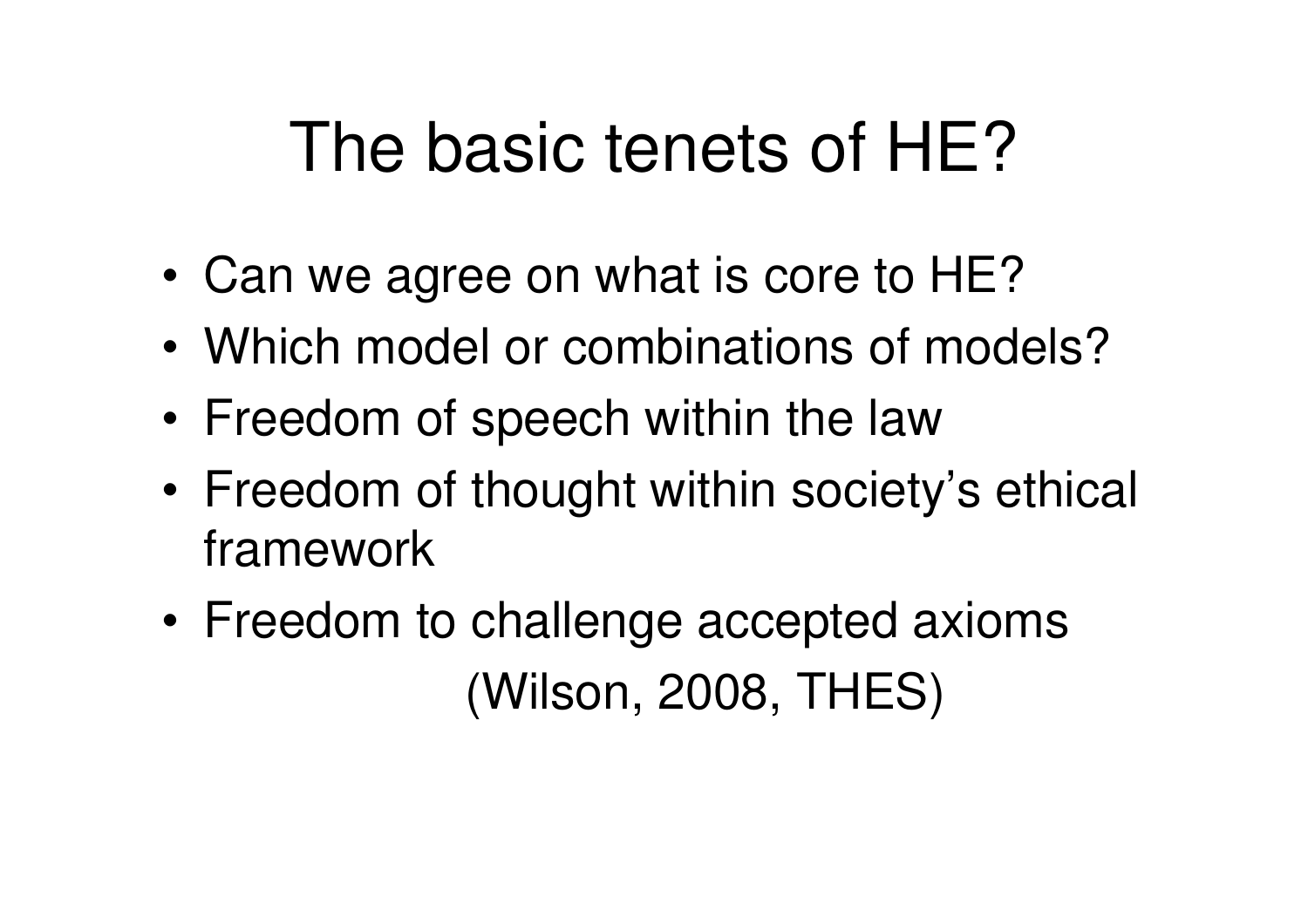### The basic tenets of HE?

- •Can we agree on what is core to HE?
- •Which model or combinations of models?
- •Freedom of speech within the law
- $\bullet$  Freedom of thought within societ Freedom of thought within society's ethical framework
- • Freedom to challenge accepted axioms (Wilson, 2008, THES)